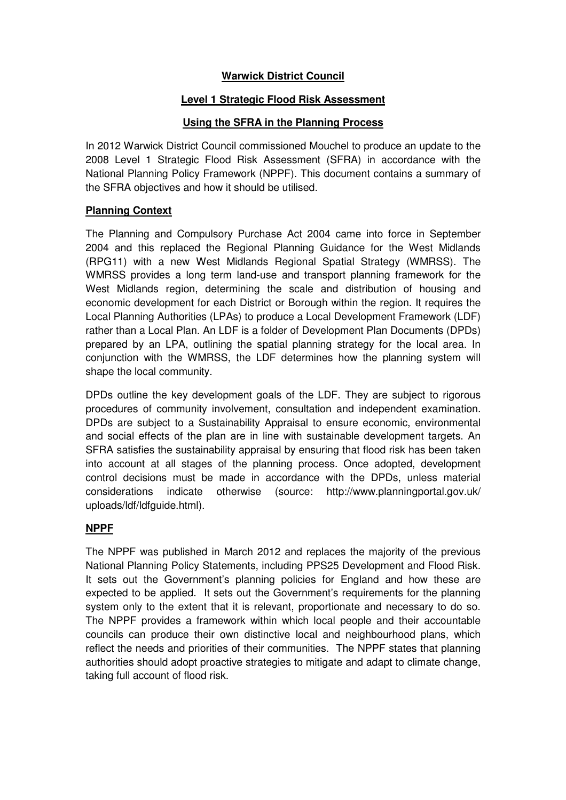# **Warwick District Council**

#### **Level 1 Strategic Flood Risk Assessment**

#### **Using the SFRA in the Planning Process**

In 2012 Warwick District Council commissioned Mouchel to produce an update to the 2008 Level 1 Strategic Flood Risk Assessment (SFRA) in accordance with the National Planning Policy Framework (NPPF). This document contains a summary of the SFRA objectives and how it should be utilised.

#### **Planning Context**

The Planning and Compulsory Purchase Act 2004 came into force in September 2004 and this replaced the Regional Planning Guidance for the West Midlands (RPG11) with a new West Midlands Regional Spatial Strategy (WMRSS). The WMRSS provides a long term land-use and transport planning framework for the West Midlands region, determining the scale and distribution of housing and economic development for each District or Borough within the region. It requires the Local Planning Authorities (LPAs) to produce a Local Development Framework (LDF) rather than a Local Plan. An LDF is a folder of Development Plan Documents (DPDs) prepared by an LPA, outlining the spatial planning strategy for the local area. In conjunction with the WMRSS, the LDF determines how the planning system will shape the local community.

DPDs outline the key development goals of the LDF. They are subject to rigorous procedures of community involvement, consultation and independent examination. DPDs are subject to a Sustainability Appraisal to ensure economic, environmental and social effects of the plan are in line with sustainable development targets. An SFRA satisfies the sustainability appraisal by ensuring that flood risk has been taken into account at all stages of the planning process. Once adopted, development control decisions must be made in accordance with the DPDs, unless material considerations indicate otherwise (source: http://www.planningportal.gov.uk/ uploads/ldf/ldfquide.html).

# **NPPF**

The NPPF was published in March 2012 and replaces the majority of the previous National Planning Policy Statements, including PPS25 Development and Flood Risk. It sets out the Government's planning policies for England and how these are expected to be applied. It sets out the Government's requirements for the planning system only to the extent that it is relevant, proportionate and necessary to do so. The NPPF provides a framework within which local people and their accountable councils can produce their own distinctive local and neighbourhood plans, which reflect the needs and priorities of their communities. The NPPF states that planning authorities should adopt proactive strategies to mitigate and adapt to climate change, taking full account of flood risk.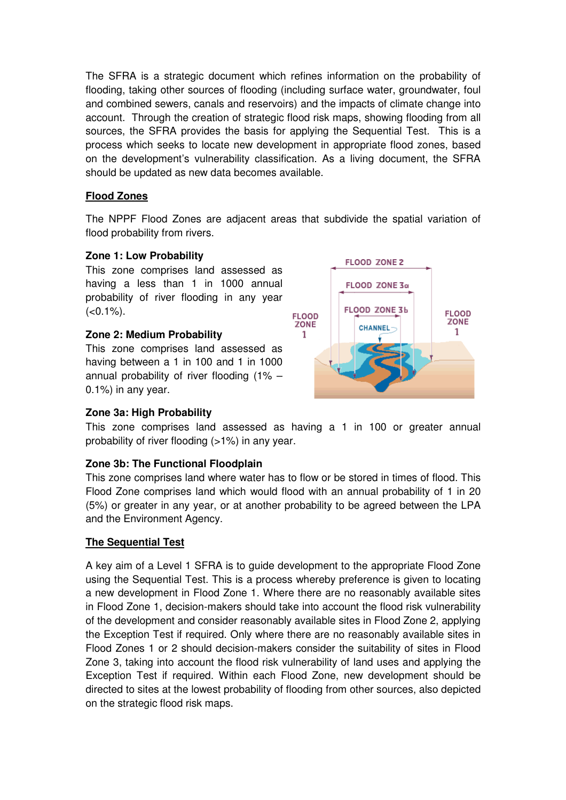The SFRA is a strategic document which refines information on the probability of flooding, taking other sources of flooding (including surface water, groundwater, foul and combined sewers, canals and reservoirs) and the impacts of climate change into account. Through the creation of strategic flood risk maps, showing flooding from all sources, the SFRA provides the basis for applying the Sequential Test. This is a process which seeks to locate new development in appropriate flood zones, based on the development's vulnerability classification. As a living document, the SFRA should be updated as new data becomes available.

#### **Flood Zones**

The NPPF Flood Zones are adjacent areas that subdivide the spatial variation of flood probability from rivers.

#### **Zone 1: Low Probability**

This zone comprises land assessed as having a less than 1 in 1000 annual probability of river flooding in any year  $(<0.1\%)$ .

#### **Zone 2: Medium Probability**

This zone comprises land assessed as having between a 1 in 100 and 1 in 1000 annual probability of river flooding (1% – 0.1%) in any year.



# **Zone 3a: High Probability**

This zone comprises land assessed as having a 1 in 100 or greater annual probability of river flooding (>1%) in any year.

# **Zone 3b: The Functional Floodplain**

This zone comprises land where water has to flow or be stored in times of flood. This Flood Zone comprises land which would flood with an annual probability of 1 in 20 (5%) or greater in any year, or at another probability to be agreed between the LPA and the Environment Agency.

# **The Sequential Test**

A key aim of a Level 1 SFRA is to guide development to the appropriate Flood Zone using the Sequential Test. This is a process whereby preference is given to locating a new development in Flood Zone 1. Where there are no reasonably available sites in Flood Zone 1, decision-makers should take into account the flood risk vulnerability of the development and consider reasonably available sites in Flood Zone 2, applying the Exception Test if required. Only where there are no reasonably available sites in Flood Zones 1 or 2 should decision-makers consider the suitability of sites in Flood Zone 3, taking into account the flood risk vulnerability of land uses and applying the Exception Test if required. Within each Flood Zone, new development should be directed to sites at the lowest probability of flooding from other sources, also depicted on the strategic flood risk maps.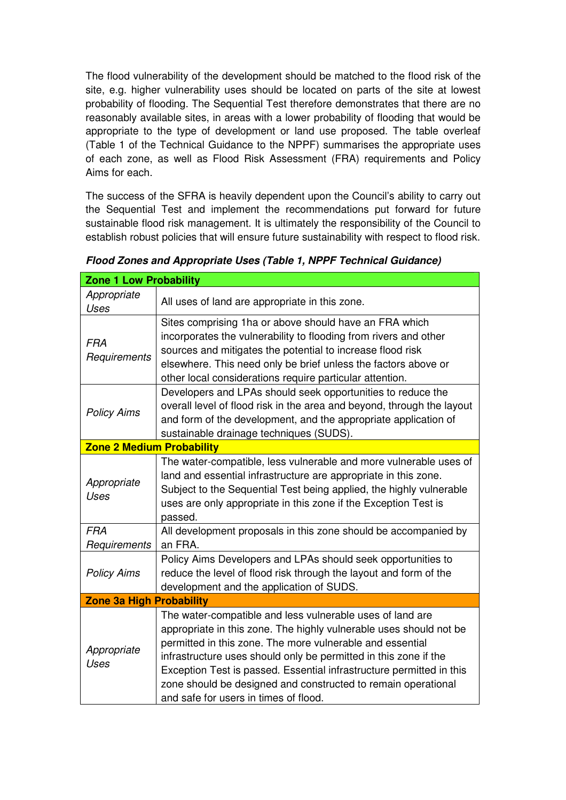The flood vulnerability of the development should be matched to the flood risk of the site, e.g. higher vulnerability uses should be located on parts of the site at lowest probability of flooding. The Sequential Test therefore demonstrates that there are no reasonably available sites, in areas with a lower probability of flooding that would be appropriate to the type of development or land use proposed. The table overleaf (Table 1 of the Technical Guidance to the NPPF) summarises the appropriate uses of each zone, as well as Flood Risk Assessment (FRA) requirements and Policy Aims for each.

The success of the SFRA is heavily dependent upon the Council's ability to carry out the Sequential Test and implement the recommendations put forward for future sustainable flood risk management. It is ultimately the responsibility of the Council to establish robust policies that will ensure future sustainability with respect to flood risk.

| <b>Zone 1 Low Probability</b>    |                                                                                                                                                                                                                                                                                                                                                                                                                                                    |  |  |  |  |  |
|----------------------------------|----------------------------------------------------------------------------------------------------------------------------------------------------------------------------------------------------------------------------------------------------------------------------------------------------------------------------------------------------------------------------------------------------------------------------------------------------|--|--|--|--|--|
| Appropriate<br><b>Uses</b>       | All uses of land are appropriate in this zone.                                                                                                                                                                                                                                                                                                                                                                                                     |  |  |  |  |  |
| <b>FRA</b><br>Requirements       | Sites comprising 1ha or above should have an FRA which<br>incorporates the vulnerability to flooding from rivers and other<br>sources and mitigates the potential to increase flood risk<br>elsewhere. This need only be brief unless the factors above or<br>other local considerations require particular attention.                                                                                                                             |  |  |  |  |  |
| <b>Policy Aims</b>               | Developers and LPAs should seek opportunities to reduce the<br>overall level of flood risk in the area and beyond, through the layout<br>and form of the development, and the appropriate application of<br>sustainable drainage techniques (SUDS).                                                                                                                                                                                                |  |  |  |  |  |
| <b>Zone 2 Medium Probability</b> |                                                                                                                                                                                                                                                                                                                                                                                                                                                    |  |  |  |  |  |
| Appropriate<br>Uses              | The water-compatible, less vulnerable and more vulnerable uses of<br>land and essential infrastructure are appropriate in this zone.<br>Subject to the Sequential Test being applied, the highly vulnerable<br>uses are only appropriate in this zone if the Exception Test is<br>passed.                                                                                                                                                          |  |  |  |  |  |
| <b>FRA</b><br>Requirements       | All development proposals in this zone should be accompanied by<br>an FRA.                                                                                                                                                                                                                                                                                                                                                                         |  |  |  |  |  |
| <b>Policy Aims</b>               | Policy Aims Developers and LPAs should seek opportunities to<br>reduce the level of flood risk through the layout and form of the<br>development and the application of SUDS.                                                                                                                                                                                                                                                                      |  |  |  |  |  |
| <b>Zone 3a High Probability</b>  |                                                                                                                                                                                                                                                                                                                                                                                                                                                    |  |  |  |  |  |
| Appropriate<br>Uses              | The water-compatible and less vulnerable uses of land are<br>appropriate in this zone. The highly vulnerable uses should not be<br>permitted in this zone. The more vulnerable and essential<br>infrastructure uses should only be permitted in this zone if the<br>Exception Test is passed. Essential infrastructure permitted in this<br>zone should be designed and constructed to remain operational<br>and safe for users in times of flood. |  |  |  |  |  |

**Flood Zones and Appropriate Uses (Table 1, NPPF Technical Guidance)**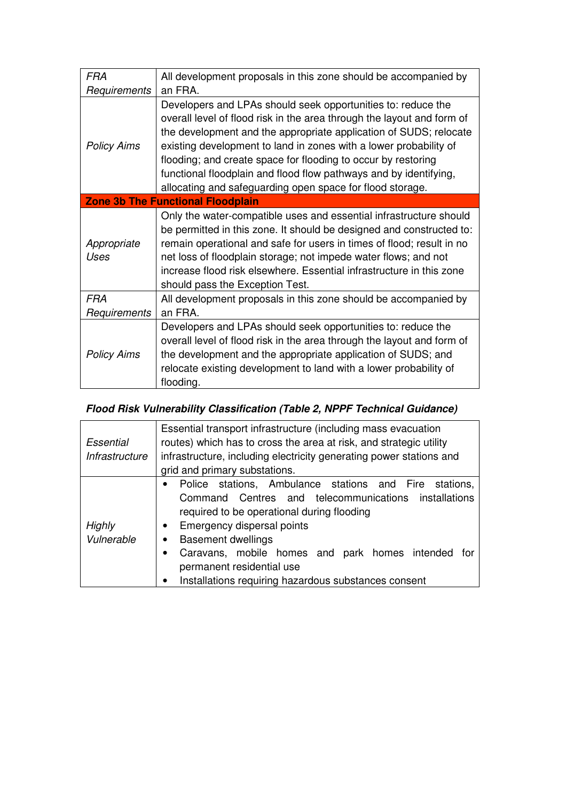| <b>FRA</b>                 | All development proposals in this zone should be accompanied by                                                                                                                                                                                                                                                                                                                                                                                                                     |  |  |  |  |  |
|----------------------------|-------------------------------------------------------------------------------------------------------------------------------------------------------------------------------------------------------------------------------------------------------------------------------------------------------------------------------------------------------------------------------------------------------------------------------------------------------------------------------------|--|--|--|--|--|
| Requirements               | an FRA.                                                                                                                                                                                                                                                                                                                                                                                                                                                                             |  |  |  |  |  |
| <b>Policy Aims</b>         | Developers and LPAs should seek opportunities to: reduce the<br>overall level of flood risk in the area through the layout and form of<br>the development and the appropriate application of SUDS; relocate<br>existing development to land in zones with a lower probability of<br>flooding; and create space for flooding to occur by restoring<br>functional floodplain and flood flow pathways and by identifying,<br>allocating and safeguarding open space for flood storage. |  |  |  |  |  |
|                            | <b>Zone 3b The Functional Floodplain</b>                                                                                                                                                                                                                                                                                                                                                                                                                                            |  |  |  |  |  |
| Appropriate<br>Uses        | Only the water-compatible uses and essential infrastructure should<br>be permitted in this zone. It should be designed and constructed to:<br>remain operational and safe for users in times of flood; result in no<br>net loss of floodplain storage; not impede water flows; and not<br>increase flood risk elsewhere. Essential infrastructure in this zone<br>should pass the Exception Test.                                                                                   |  |  |  |  |  |
| <b>FRA</b><br>Requirements | All development proposals in this zone should be accompanied by<br>an FRA.                                                                                                                                                                                                                                                                                                                                                                                                          |  |  |  |  |  |
| <b>Policy Aims</b>         | Developers and LPAs should seek opportunities to: reduce the<br>overall level of flood risk in the area through the layout and form of<br>the development and the appropriate application of SUDS; and<br>relocate existing development to land with a lower probability of<br>flooding.                                                                                                                                                                                            |  |  |  |  |  |

# **Flood Risk Vulnerability Classification (Table 2, NPPF Technical Guidance)**

| Essential<br>Infrastructure | Essential transport infrastructure (including mass evacuation<br>routes) which has to cross the area at risk, and strategic utility<br>infrastructure, including electricity generating power stations and<br>grid and primary substations.                                                                                                                                                                  |  |  |  |  |  |  |
|-----------------------------|--------------------------------------------------------------------------------------------------------------------------------------------------------------------------------------------------------------------------------------------------------------------------------------------------------------------------------------------------------------------------------------------------------------|--|--|--|--|--|--|
| Highly<br>Vulnerable        | Police stations, Ambulance stations and Fire<br>stations.<br>$\bullet$<br>Command Centres and telecommunications installations<br>required to be operational during flooding<br>Emergency dispersal points<br>$\bullet$<br><b>Basement dwellings</b><br>$\bullet$<br>Caravans, mobile homes and park homes intended for<br>permanent residential use<br>Installations requiring hazardous substances consent |  |  |  |  |  |  |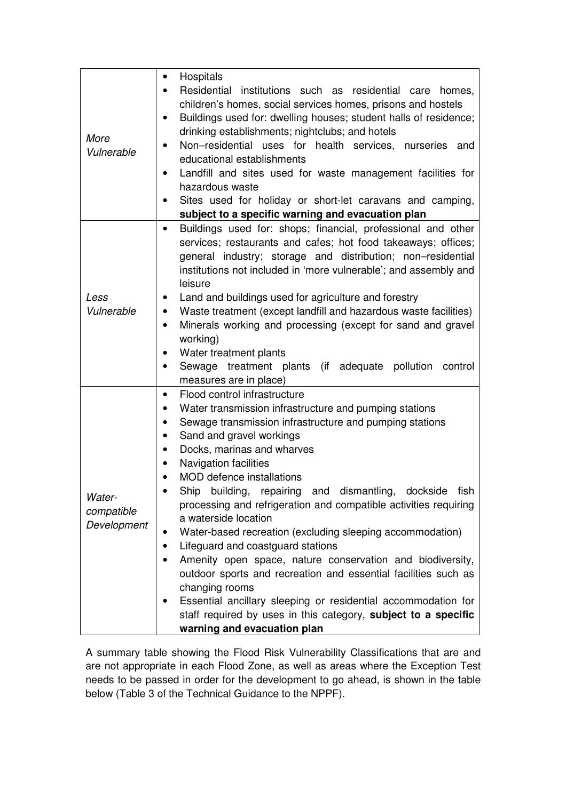| More<br>Vulnerable                  | Hospitals<br>Residential institutions such as residential care<br>homes,<br>children's homes, social services homes, prisons and hostels<br>Buildings used for: dwelling houses; student halls of residence;<br>٠<br>drinking establishments; nightclubs; and hotels<br>Non-residential uses for health services,<br>nurseries and<br>$\bullet$<br>educational establishments                                                                                                                                                                                                                                                                                                                                                                                                                                                                                                                                |
|-------------------------------------|--------------------------------------------------------------------------------------------------------------------------------------------------------------------------------------------------------------------------------------------------------------------------------------------------------------------------------------------------------------------------------------------------------------------------------------------------------------------------------------------------------------------------------------------------------------------------------------------------------------------------------------------------------------------------------------------------------------------------------------------------------------------------------------------------------------------------------------------------------------------------------------------------------------|
|                                     | Landfill and sites used for waste management facilities for<br>hazardous waste<br>Sites used for holiday or short-let caravans and camping,<br>subject to a specific warning and evacuation plan                                                                                                                                                                                                                                                                                                                                                                                                                                                                                                                                                                                                                                                                                                             |
| Less<br>Vulnerable                  | Buildings used for: shops; financial, professional and other<br>services; restaurants and cafes; hot food takeaways; offices;<br>general industry; storage and distribution; non-residential<br>institutions not included in 'more vulnerable'; and assembly and<br>leisure<br>Land and buildings used for agriculture and forestry<br>Waste treatment (except landfill and hazardous waste facilities)<br>٠<br>Minerals working and processing (except for sand and gravel<br>$\bullet$<br>working)<br>Water treatment plants<br>Sewage treatment plants (if adequate pollution<br>control<br>$\bullet$<br>measures are in place)                                                                                                                                                                                                                                                                           |
| Water-<br>compatible<br>Development | Flood control infrastructure<br>Water transmission infrastructure and pumping stations<br>$\bullet$<br>Sewage transmission infrastructure and pumping stations<br>٠<br>Sand and gravel workings<br>Docks, marinas and wharves<br>$\bullet$<br><b>Navigation facilities</b><br><b>MOD</b> defence installations<br>Ship<br>building,<br>dismantling,<br>dockside<br>repairing<br>fish<br>and<br>processing and refrigeration and compatible activities requiring<br>a waterside location<br>Water-based recreation (excluding sleeping accommodation)<br>Lifeguard and coastguard stations<br>Amenity open space, nature conservation and biodiversity,<br>outdoor sports and recreation and essential facilities such as<br>changing rooms<br>Essential ancillary sleeping or residential accommodation for<br>staff required by uses in this category, subject to a specific<br>warning and evacuation plan |

A summary table showing the Flood Risk Vulnerability Classifications that are and are not appropriate in each Flood Zone, as well as areas where the Exception Test needs to be passed in order for the development to go ahead, is shown in the table below (Table 3 of the Technical Guidance to the NPPF).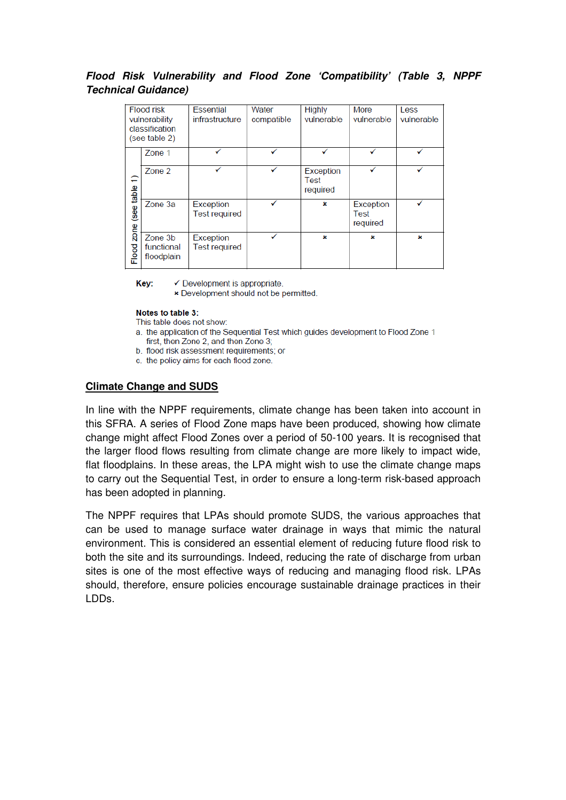# **Flood Risk Vulnerability and Flood Zone 'Compatibility' (Table 3, NPPF Technical Guidance)**

| <b>Flood risk</b><br>vulnerability<br>classification<br>(see table 2) |                                     | <b>Essential</b><br>infrastructure | Water<br>compatible | <b>Highly</b><br>vulnerable   | <b>More</b><br>vulnerable     | Less<br>vulnerable |
|-----------------------------------------------------------------------|-------------------------------------|------------------------------------|---------------------|-------------------------------|-------------------------------|--------------------|
| zone (see table 1)<br>Flood                                           | Zone 1                              |                                    |                     |                               |                               |                    |
|                                                                       | Zone 2                              |                                    |                     | Exception<br>Test<br>required |                               |                    |
|                                                                       | Zone 3a                             | Exception<br><b>Test required</b>  |                     | ×                             | Exception<br>Test<br>required |                    |
|                                                                       | Zone 3b<br>functional<br>floodplain | Exception<br><b>Test required</b>  |                     | ×                             | ×                             | ×                  |

Kev:  $\checkmark$  Development is appropriate.

× Development should not be permitted.

#### Notes to table 3:

This table does not show:

- a. the application of the Sequential Test which quides development to Flood Zone 1 first, then Zone 2, and then Zone 3;
- b. flood risk assessment requirements; or
- c. the policy aims for each flood zone.

# **Climate Change and SUDS**

In line with the NPPF requirements, climate change has been taken into account in this SFRA. A series of Flood Zone maps have been produced, showing how climate change might affect Flood Zones over a period of 50-100 years. It is recognised that the larger flood flows resulting from climate change are more likely to impact wide, flat floodplains. In these areas, the LPA might wish to use the climate change maps to carry out the Sequential Test, in order to ensure a long-term risk-based approach has been adopted in planning.

The NPPF requires that LPAs should promote SUDS, the various approaches that can be used to manage surface water drainage in ways that mimic the natural environment. This is considered an essential element of reducing future flood risk to both the site and its surroundings. Indeed, reducing the rate of discharge from urban sites is one of the most effective ways of reducing and managing flood risk. LPAs should, therefore, ensure policies encourage sustainable drainage practices in their LDDs.